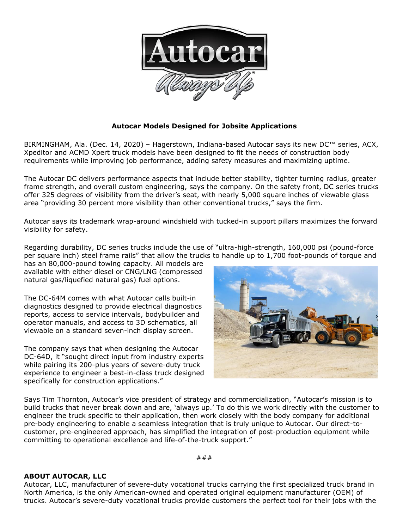

## **Autocar Models Designed for Jobsite Applications**

BIRMINGHAM, Ala. (Dec. 14, 2020) – Hagerstown, Indiana-based Autocar says its new DC™ series, ACX, Xpeditor and ACMD Xpert truck models have been designed to fit the needs of construction body requirements while improving job performance, adding safety measures and maximizing uptime.

The Autocar DC delivers performance aspects that include better stability, tighter turning radius, greater frame strength, and overall custom engineering, says the company. On the safety front, DC series trucks offer 325 degrees of visibility from the driver's seat, with nearly 5,000 square inches of viewable glass area "providing 30 percent more visibility than other conventional trucks," says the firm.

Autocar says its trademark wrap-around windshield with tucked-in support pillars maximizes the forward visibility for safety.

Regarding durability, DC series trucks include the use of "ultra-high-strength, 160,000 psi (pound-force per square inch) steel frame rails" that allow the trucks to handle up to 1,700 foot-pounds of torque and

has an 80,000-pound towing capacity. All models are available with either diesel or CNG/LNG (compressed natural gas/liquefied natural gas) fuel options.

The DC-64M comes with what Autocar calls built-in diagnostics designed to provide electrical diagnostics reports, access to service intervals, bodybuilder and operator manuals, and access to 3D schematics, all viewable on a standard seven-inch display screen.

The company says that when designing the Autocar DC-64D, it "sought direct input from industry experts while pairing its 200-plus years of severe-duty truck experience to engineer a best-in-class truck designed specifically for construction applications."



Says Tim Thornton, Autocar's vice president of strategy and commercialization, "Autocar's mission is to build trucks that never break down and are, 'always up.' To do this we work directly with the customer to engineer the truck specific to their application, then work closely with the body company for additional pre-body engineering to enable a seamless integration that is truly unique to Autocar. Our direct-tocustomer, pre-engineered approach, has simplified the integration of post-production equipment while committing to operational excellence and life-of-the-truck support."

###

## **ABOUT AUTOCAR, LLC**

Autocar, LLC, manufacturer of severe-duty vocational trucks carrying the first specialized truck brand in North America, is the only American-owned and operated original equipment manufacturer (OEM) of trucks. Autocar's severe-duty vocational trucks provide customers the perfect tool for their jobs with the